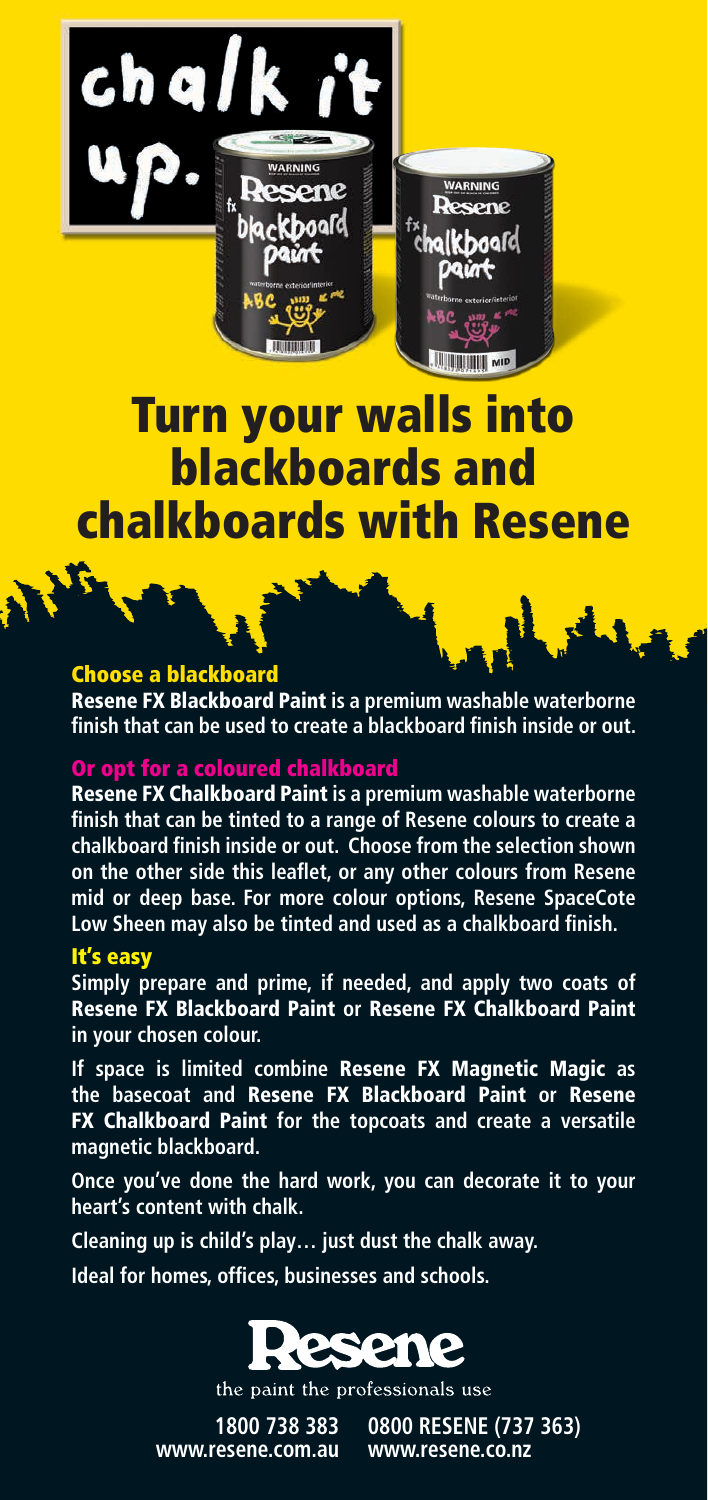

ene

**WARNING** 

**Resene** c**halk h**aafd

JIIII

## Choose a blackboard

 $ch$  al

Resene FX Blackboard Paint **is a premium washable waterborne finish that can be used to create a blackboard finish inside or out.**

## Or opt for a coloured chalkboard

Resene FX Chalkboard Paint **is a premium washable waterborne finish that can be tinted to a range of Resene colours to create a chalkboard finish inside or out. Choose from the selection shown on the other side this leaflet, or any other colours from Resene mid or deep base. For more colour options, Resene SpaceCote Low Sheen may also be tinted and used as a chalkboard finish.**

## It's easy

**Simply prepare and prime, if needed, and apply two coats of**  Resene FX Blackboard Paint **or** Resene FX Chalkboard Paint **in your chosen colour.**

**If space is limited combine** Resene FX Magnetic Magic **as the basecoat and** Resene FX Blackboard Paint **or** Resene FX Chalkboard Paint **for the topcoats and create a versatile magnetic blackboard.**

**Once you've done the hard work, you can decorate it to your heart's content with chalk.**

**Cleaning up is child's play… just dust the chalk away.** 

**Ideal for homes, offices, businesses and schools.**



the paint the professionals use

**1800 738 383 www.resene.com.au** 

**0800 RESENE (737 363) www.resene.co.nz**